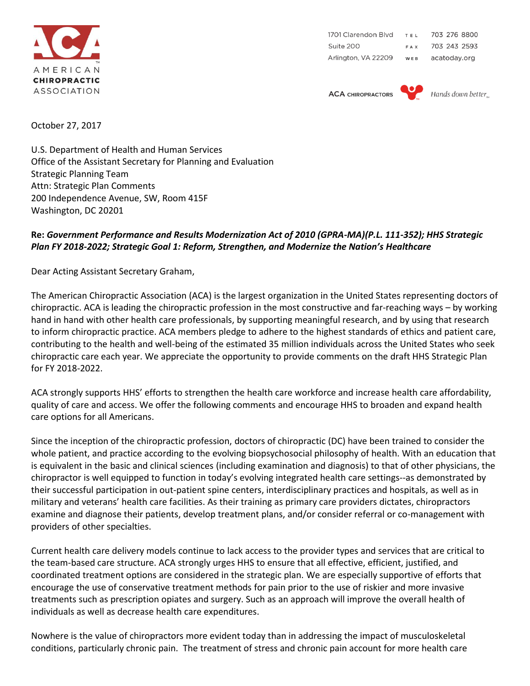

1701 Clarendon Blvd TEL 703 276 8800 Suite 200 703 243 2593 FAX Arlington, VA 22209 WEB acatoday.org

**ACA CHIROPRACTORS** 



Hands down better

October 27, 2017

U.S. Department of Health and Human Services Office of the Assistant Secretary for Planning and Evaluation Strategic Planning Team Attn: Strategic Plan Comments 200 Independence Avenue, SW, Room 415F Washington, DC 20201

## **Re:** *Government Performance and Results Modernization Act of 2010 (GPRA-MA)(P.L. 111-352); HHS Strategic Plan FY 2018-2022; Strategic Goal 1: Reform, Strengthen, and Modernize the Nation's Healthcare*

Dear Acting Assistant Secretary Graham,

The American Chiropractic Association (ACA) is the largest organization in the United States representing doctors of chiropractic. ACA is leading the chiropractic profession in the most constructive and far-reaching ways – by working hand in hand with other health care professionals, by supporting meaningful research, and by using that research to inform chiropractic practice. ACA members pledge to adhere to the highest standards of ethics and patient care, contributing to the health and well-being of the estimated 35 million individuals across the United States who seek chiropractic care each year. We appreciate the opportunity to provide comments on the draft HHS Strategic Plan for FY 2018-2022.

ACA strongly supports HHS' efforts to strengthen the health care workforce and increase health care affordability, quality of care and access. We offer the following comments and encourage HHS to broaden and expand health care options for all Americans.

Since the inception of the chiropractic profession, doctors of chiropractic (DC) have been trained to consider the whole patient, and practice according to the evolving biopsychosocial philosophy of health. With an education that is equivalent in the basic and clinical sciences (including examination and diagnosis) to that of other physicians, the chiropractor is well equipped to function in today's evolving integrated health care settings--as demonstrated by their successful participation in out-patient spine centers, interdisciplinary practices and hospitals, as well as in military and veterans' health care facilities. As their training as primary care providers dictates, chiropractors examine and diagnose their patients, develop treatment plans, and/or consider referral or co-management with providers of other specialties.

Current health care delivery models continue to lack access to the provider types and services that are critical to the team-based care structure. ACA strongly urges HHS to ensure that all effective, efficient, justified, and coordinated treatment options are considered in the strategic plan. We are especially supportive of efforts that encourage the use of conservative treatment methods for pain prior to the use of riskier and more invasive treatments such as prescription opiates and surgery. Such as an approach will improve the overall health of individuals as well as decrease health care expenditures.

Nowhere is the value of chiropractors more evident today than in addressing the impact of musculoskeletal conditions, particularly chronic pain. The treatment of stress and chronic pain account for more health care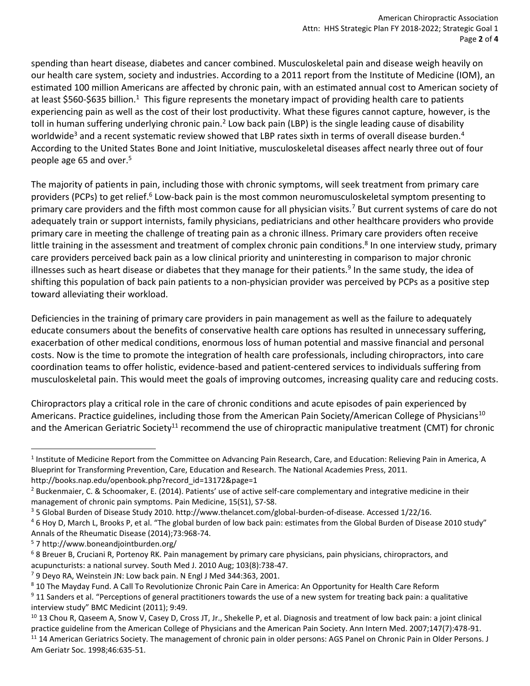spending than heart disease, diabetes and cancer combined. Musculoskeletal pain and disease weigh heavily on our health care system, society and industries. According to a 2011 report from the Institute of Medicine (IOM), an estimated 100 million Americans are affected by chronic pain, with an estimated annual cost to American society of at least \$560-\$635 billion.<sup>1</sup> This figure represents the monetary impact of providing health care to patients experiencing pain as well as the cost of their lost productivity. What these figures cannot capture, however, is the toll in human suffering underlying chronic pain.<sup>2</sup> Low back pain (LBP) is the single leading cause of disability worldwide<sup>3</sup> and a recent systematic review showed that LBP rates sixth in terms of overall disease burden.<sup>4</sup> According to the United States Bone and Joint Initiative, musculoskeletal diseases affect nearly three out of four people age 65 and over.<sup>5</sup>

The majority of patients in pain, including those with chronic symptoms, will seek treatment from primary care providers (PCPs) to get relief.<sup>6</sup> Low-back pain is the most common neuromusculoskeletal symptom presenting to primary care providers and the fifth most common cause for all physician visits.<sup>7</sup> But current systems of care do not adequately train or support internists, family physicians, pediatricians and other healthcare providers who provide primary care in meeting the challenge of treating pain as a chronic illness. Primary care providers often receive little training in the assessment and treatment of complex chronic pain conditions.<sup>8</sup> In one interview study, primary care providers perceived back pain as a low clinical priority and uninteresting in comparison to major chronic illnesses such as heart disease or diabetes that they manage for their patients.<sup>9</sup> In the same study, the idea of shifting this population of back pain patients to a non-physician provider was perceived by PCPs as a positive step toward alleviating their workload.

Deficiencies in the training of primary care providers in pain management as well as the failure to adequately educate consumers about the benefits of conservative health care options has resulted in unnecessary suffering, exacerbation of other medical conditions, enormous loss of human potential and massive financial and personal costs. Now is the time to promote the integration of health care professionals, including chiropractors, into care coordination teams to offer holistic, evidence-based and patient-centered services to individuals suffering from musculoskeletal pain. This would meet the goals of improving outcomes, increasing quality care and reducing costs.

Chiropractors play a critical role in the care of chronic conditions and acute episodes of pain experienced by Americans. Practice guidelines, including those from the American Pain Society/American College of Physicians<sup>10</sup> and the American Geriatric Society<sup>11</sup> recommend the use of chiropractic manipulative treatment (CMT) for chronic

 $\overline{a}$ 

<sup>&</sup>lt;sup>1</sup> Institute of Medicine Report from the Committee on Advancing Pain Research, Care, and Education: Relieving Pain in America, A Blueprint for Transforming Prevention, Care, Education and Research. The National Academies Press, 2011. http://books.nap.edu/openbook.php?record\_id=13172&page=1

 $2$  Buckenmaier, C. & Schoomaker, E. (2014). Patients' use of active self-care complementary and integrative medicine in their management of chronic pain symptoms. Pain Medicine, 15(S1), S7-S8.

<sup>3</sup> 5 Global Burden of Disease Study 2010. http://www.thelancet.com/global-burden-of-disease. Accessed 1/22/16.

<sup>4</sup> 6 Hoy D, March L, Brooks P, et al. "The global burden of low back pain: estimates from the Global Burden of Disease 2010 study" Annals of the Rheumatic Disease (2014);73:968-74.

<sup>5</sup> 7 http://www.boneandjointburden.org/

<sup>6</sup> 8 Breuer B, Cruciani R, Portenoy RK. Pain management by primary care physicians, pain physicians, chiropractors, and acupuncturists: a national survey. South Med J. 2010 Aug; 103(8):738-47.

<sup>7</sup> 9 Deyo RA, Weinstein JN: Low back pain. N Engl J Med 344:363, 2001.

<sup>8</sup> 10 The Mayday Fund. A Call To Revolutionize Chronic Pain Care in America: An Opportunity for Health Care Reform <sup>9</sup> 11 Sanders et al. "Perceptions of general practitioners towards the use of a new system for treating back pain: a qualitative

interview study" BMC Medicint (2011); 9:49.

 $10$  13 Chou R, Qaseem A, Snow V, Casey D, Cross JT, Jr., Shekelle P, et al. Diagnosis and treatment of low back pain: a joint clinical practice guideline from the American College of Physicians and the American Pain Society. Ann Intern Med. 2007;147(7):478-91. <sup>11</sup> 14 American Geriatrics Society. The management of chronic pain in older persons: AGS Panel on Chronic Pain in Older Persons. J Am Geriatr Soc. 1998;46:635-51.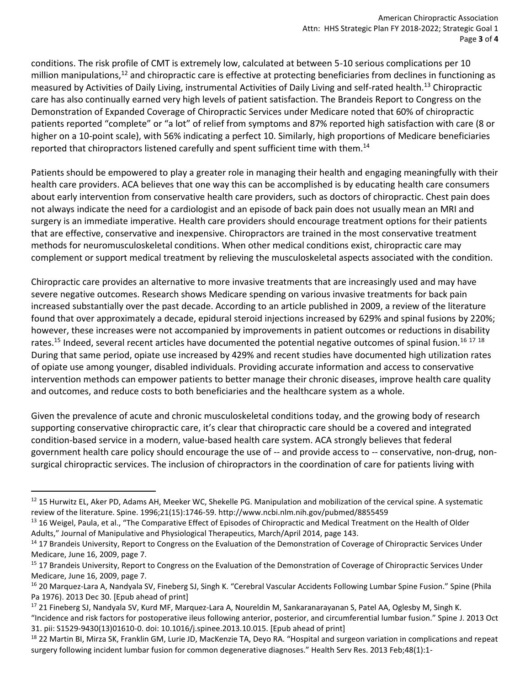conditions. The risk profile of CMT is extremely low, calculated at between 5-10 serious complications per 10 million manipulations,<sup>12</sup> and chiropractic care is effective at protecting beneficiaries from declines in functioning as measured by Activities of Daily Living, instrumental Activities of Daily Living and self-rated health.<sup>13</sup> Chiropractic care has also continually earned very high levels of patient satisfaction. The Brandeis Report to Congress on the Demonstration of Expanded Coverage of Chiropractic Services under Medicare noted that 60% of chiropractic patients reported "complete" or "a lot" of relief from symptoms and 87% reported high satisfaction with care (8 or higher on a 10-point scale), with 56% indicating a perfect 10. Similarly, high proportions of Medicare beneficiaries reported that chiropractors listened carefully and spent sufficient time with them.<sup>14</sup>

Patients should be empowered to play a greater role in managing their health and engaging meaningfully with their health care providers. ACA believes that one way this can be accomplished is by educating health care consumers about early intervention from conservative health care providers, such as doctors of chiropractic. Chest pain does not always indicate the need for a cardiologist and an episode of back pain does not usually mean an MRI and surgery is an immediate imperative. Health care providers should encourage treatment options for their patients that are effective, conservative and inexpensive. Chiropractors are trained in the most conservative treatment methods for neuromusculoskeletal conditions. When other medical conditions exist, chiropractic care may complement or support medical treatment by relieving the musculoskeletal aspects associated with the condition.

Chiropractic care provides an alternative to more invasive treatments that are increasingly used and may have severe negative outcomes. Research shows Medicare spending on various invasive treatments for back pain increased substantially over the past decade. According to an article published in 2009, a review of the literature found that over approximately a decade, epidural steroid injections increased by 629% and spinal fusions by 220%; however, these increases were not accompanied by improvements in patient outcomes or reductions in disability rates.<sup>15</sup> Indeed, several recent articles have documented the potential negative outcomes of spinal fusion.<sup>16 17 18</sup> During that same period, opiate use increased by 429% and recent studies have documented high utilization rates of opiate use among younger, disabled individuals. Providing accurate information and access to conservative intervention methods can empower patients to better manage their chronic diseases, improve health care quality and outcomes, and reduce costs to both beneficiaries and the healthcare system as a whole.

Given the prevalence of acute and chronic musculoskeletal conditions today, and the growing body of research supporting conservative chiropractic care, it's clear that chiropractic care should be a covered and integrated condition-based service in a modern, value-based health care system. ACA strongly believes that federal government health care policy should encourage the use of -- and provide access to -- conservative, non-drug, nonsurgical chiropractic services. The inclusion of chiropractors in the coordination of care for patients living with

 $\overline{a}$ 

<sup>&</sup>lt;sup>12</sup> 15 Hurwitz EL, Aker PD, Adams AH, Meeker WC, Shekelle PG. Manipulation and mobilization of the cervical spine. A systematic review of the literature. Spine. 1996;21(15):1746-59. http://www.ncbi.nlm.nih.gov/pubmed/8855459

<sup>&</sup>lt;sup>13</sup> 16 Weigel, Paula, et al., "The Comparative Effect of Episodes of Chiropractic and Medical Treatment on the Health of Older Adults," Journal of Manipulative and Physiological Therapeutics, March/April 2014, page 143.

<sup>&</sup>lt;sup>14</sup> 17 Brandeis University, Report to Congress on the Evaluation of the Demonstration of Coverage of Chiropractic Services Under Medicare, June 16, 2009, page 7.

<sup>&</sup>lt;sup>15</sup> 17 Brandeis University, Report to Congress on the Evaluation of the Demonstration of Coverage of Chiropractic Services Under Medicare, June 16, 2009, page 7.

<sup>&</sup>lt;sup>16</sup> 20 Marquez-Lara A, Nandyala SV, Fineberg SJ, Singh K. "Cerebral Vascular Accidents Following Lumbar Spine Fusion." Spine (Phila Pa 1976). 2013 Dec 30. [Epub ahead of print]

<sup>&</sup>lt;sup>17</sup> 21 Fineberg SJ, Nandyala SV, Kurd MF, Marquez-Lara A, Noureldin M, Sankaranarayanan S, Patel AA, Oglesby M, Singh K. "Incidence and risk factors for postoperative ileus following anterior, posterior, and circumferential lumbar fusion." Spine J. 2013 Oct

<sup>31.</sup> pii: S1529-9430(13)01610-0. doi: 10.1016/j.spinee.2013.10.015. [Epub ahead of print] <sup>18</sup> 22 Martin BI, Mirza SK, Franklin GM, Lurie JD, MacKenzie TA, Deyo RA. "Hospital and surgeon variation in complications and repeat surgery following incident lumbar fusion for common degenerative diagnoses." Health Serv Res. 2013 Feb;48(1):1-